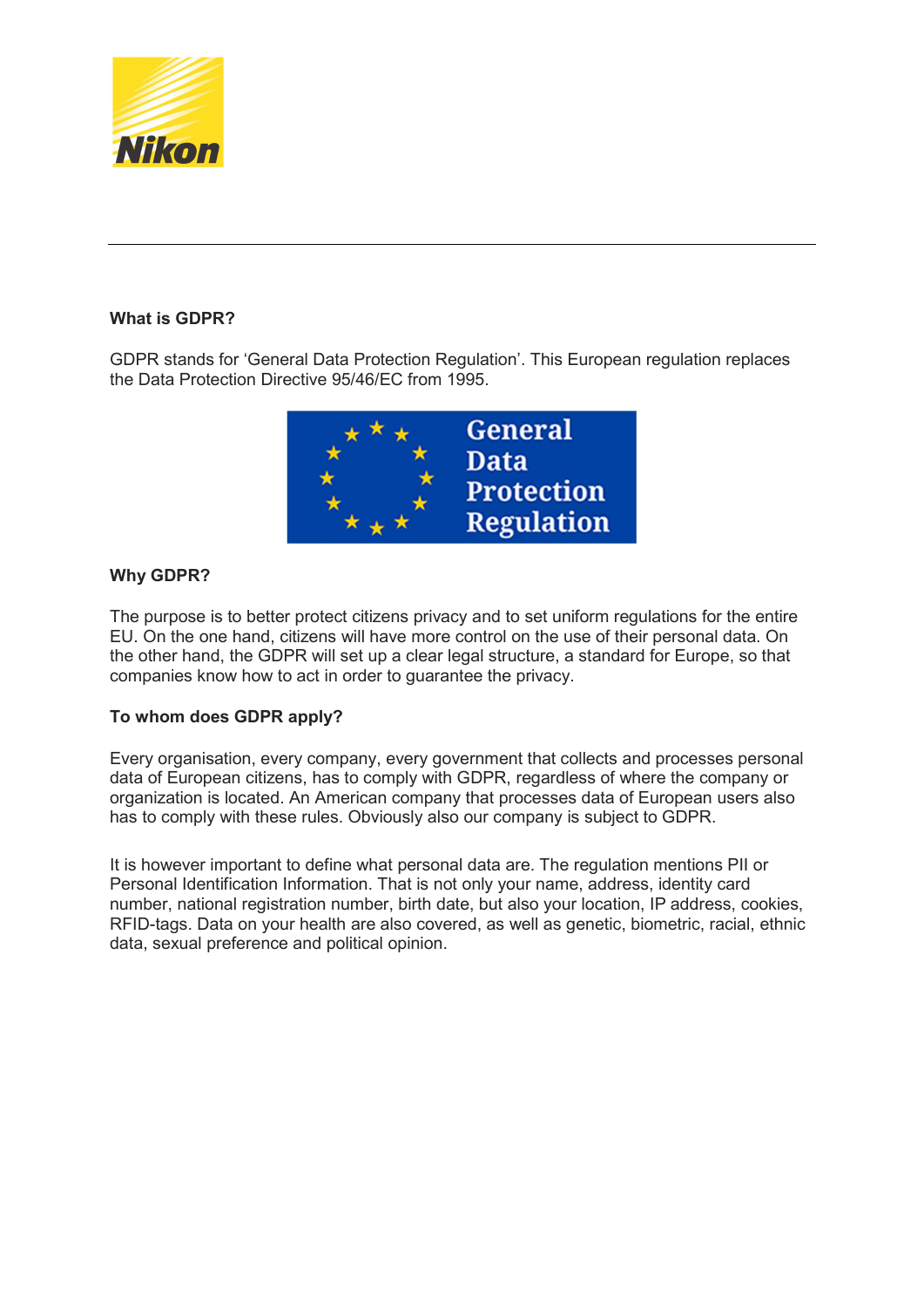

# What is GDPR?

GDPR stands for 'General Data Protection Regulation'. This European regulation replaces the Data Protection Directive 95/46/EC from 1995.



## Why GDPR?

The purpose is to better protect citizens privacy and to set uniform regulations for the entire EU. On the one hand, citizens will have more control on the use of their personal data. On the other hand, the GDPR will set up a clear legal structure, a standard for Europe, so that companies know how to act in order to guarantee the privacy.

### To whom does GDPR apply?

Every organisation, every company, every government that collects and processes personal data of European citizens, has to comply with GDPR, regardless of where the company or organization is located. An American company that processes data of European users also has to comply with these rules. Obviously also our company is subject to GDPR.

It is however important to define what personal data are. The regulation mentions PII or Personal Identification Information. That is not only your name, address, identity card number, national registration number, birth date, but also your location, IP address, cookies, RFID-tags. Data on your health are also covered, as well as genetic, biometric, racial, ethnic data, sexual preference and political opinion.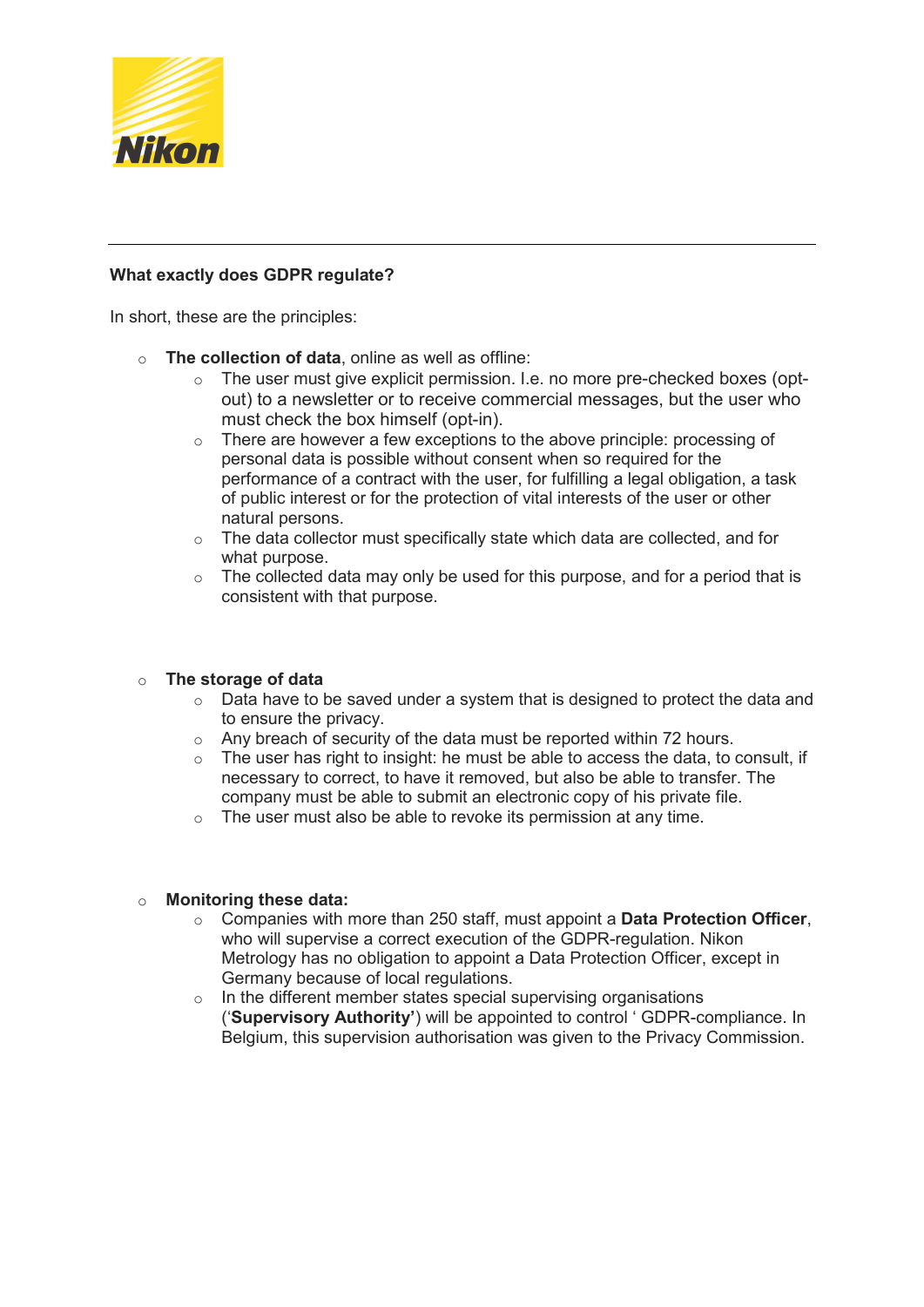

## What exactly does GDPR regulate?

In short, these are the principles:

- o The collection of data, online as well as offline:
	- $\circ$  The user must give explicit permission. I.e. no more pre-checked boxes (optout) to a newsletter or to receive commercial messages, but the user who must check the box himself (opt-in).
	- o There are however a few exceptions to the above principle: processing of personal data is possible without consent when so required for the performance of a contract with the user, for fulfilling a legal obligation, a task of public interest or for the protection of vital interests of the user or other natural persons.
	- o The data collector must specifically state which data are collected, and for what purpose.
	- $\circ$  The collected data may only be used for this purpose, and for a period that is consistent with that purpose.

### $\circ$  The storage of data

- $\circ$  Data have to be saved under a system that is designed to protect the data and to ensure the privacy.
- o Any breach of security of the data must be reported within 72 hours.
- $\circ$  The user has right to insight: he must be able to access the data, to consult, if necessary to correct, to have it removed, but also be able to transfer. The company must be able to submit an electronic copy of his private file.
- $\circ$  The user must also be able to revoke its permission at any time.

#### o Monitoring these data:

- $\circ$  Companies with more than 250 staff, must appoint a **Data Protection Officer**, who will supervise a correct execution of the GDPR-regulation. Nikon Metrology has no obligation to appoint a Data Protection Officer, except in Germany because of local regulations.
- $\circ$  In the different member states special supervising organisations ('Supervisory Authority') will be appointed to control ' GDPR-compliance. In Belgium, this supervision authorisation was given to the Privacy Commission.